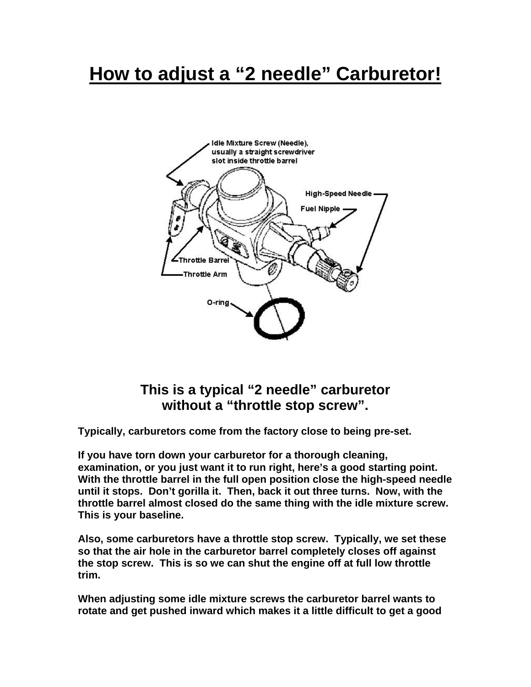## **How to adjust a "2 needle" Carburetor!**



## **This is a typical "2 needle" carburetor without a "throttle stop screw".**

**Typically, carburetors come from the factory close to being pre-set.** 

**If you have torn down your carburetor for a thorough cleaning, examination, or you just want it to run right, here's a good starting point. With the throttle barrel in the full open position close the high-speed needle until it stops. Don't gorilla it. Then, back it out three turns. Now, with the throttle barrel almost closed do the same thing with the idle mixture screw. This is your baseline.** 

**Also, some carburetors have a throttle stop screw. Typically, we set these so that the air hole in the carburetor barrel completely closes off against the stop screw. This is so we can shut the engine off at full low throttle trim.** 

**When adjusting some idle mixture screws the carburetor barrel wants to rotate and get pushed inward which makes it a little difficult to get a good**